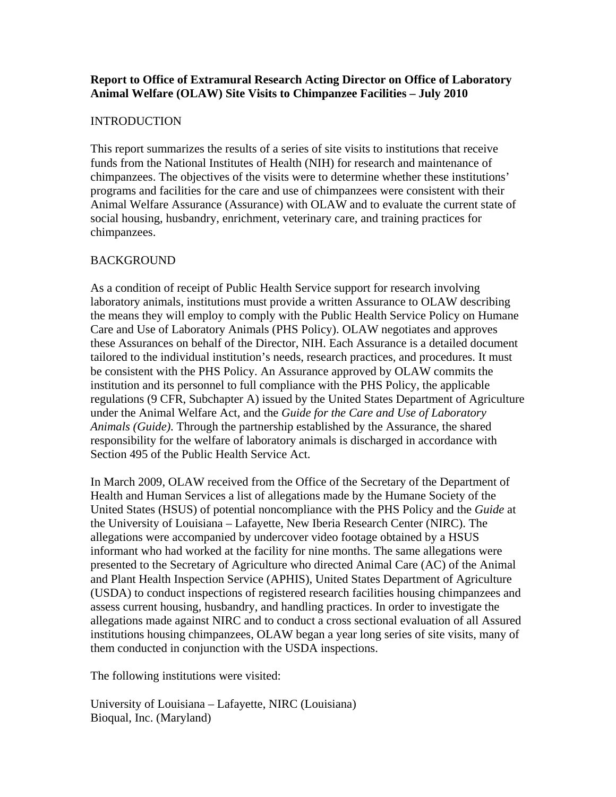## **Report to Office of Extramural Research Acting Director on Office of Laboratory Animal Welfare (OLAW) Site Visits to Chimpanzee Facilities – July 2010**

## INTRODUCTION

This report summarizes the results of a series of site visits to institutions that receive funds from the National Institutes of Health (NIH) for research and maintenance of chimpanzees. The objectives of the visits were to determine whether these institutions' programs and facilities for the care and use of chimpanzees were consistent with their Animal Welfare Assurance (Assurance) with OLAW and to evaluate the current state of social housing, husbandry, enrichment, veterinary care, and training practices for chimpanzees.

# BACKGROUND

As a condition of receipt of Public Health Service support for research involving laboratory animals, institutions must provide a written Assurance to OLAW describing the means they will employ to comply with the Public Health Service Policy on Humane Care and Use of Laboratory Animals (PHS Policy). OLAW negotiates and approves these Assurances on behalf of the Director, NIH. Each Assurance is a detailed document tailored to the individual institution's needs, research practices, and procedures. It must be consistent with the PHS Policy. An Assurance approved by OLAW commits the institution and its personnel to full compliance with the PHS Policy, the applicable regulations (9 CFR, Subchapter A) issued by the United States Department of Agriculture under the Animal Welfare Act, and the *Guide for the Care and Use of Laboratory Animals (Guide)*. Through the partnership established by the Assurance, the shared responsibility for the welfare of laboratory animals is discharged in accordance with Section 495 of the Public Health Service Act.

In March 2009, OLAW received from the Office of the Secretary of the Department of Health and Human Services a list of allegations made by the Humane Society of the United States (HSUS) of potential noncompliance with the PHS Policy and the *Guide* at the University of Louisiana – Lafayette, New Iberia Research Center (NIRC). The allegations were accompanied by undercover video footage obtained by a HSUS informant who had worked at the facility for nine months. The same allegations were presented to the Secretary of Agriculture who directed Animal Care (AC) of the Animal and Plant Health Inspection Service (APHIS), United States Department of Agriculture (USDA) to conduct inspections of registered research facilities housing chimpanzees and assess current housing, husbandry, and handling practices. In order to investigate the allegations made against NIRC and to conduct a cross sectional evaluation of all Assured institutions housing chimpanzees, OLAW began a year long series of site visits, many of them conducted in conjunction with the USDA inspections.

The following institutions were visited:

University of Louisiana – Lafayette, NIRC (Louisiana) Bioqual, Inc. (Maryland)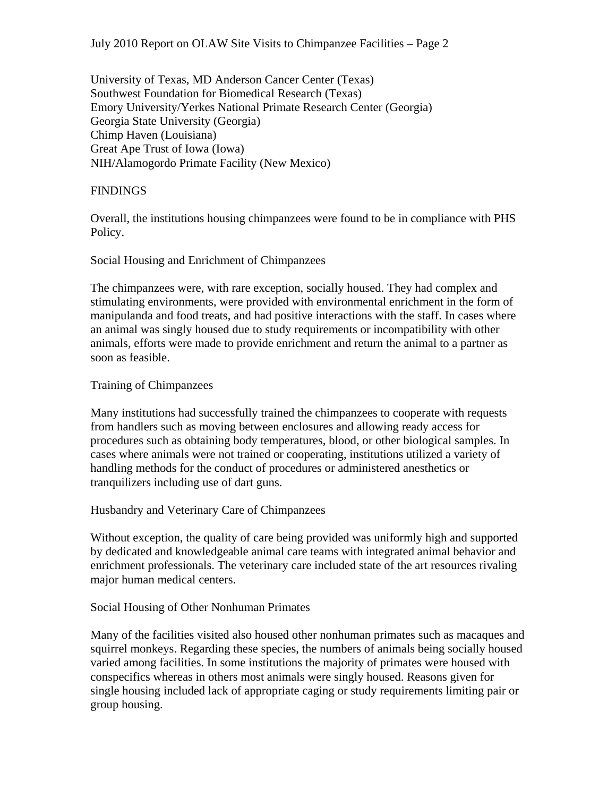University of Texas, MD Anderson Cancer Center (Texas) Southwest Foundation for Biomedical Research (Texas) Emory University/Yerkes National Primate Research Center (Georgia) Georgia State University (Georgia) Chimp Haven (Louisiana) Great Ape Trust of Iowa (Iowa) NIH/Alamogordo Primate Facility (New Mexico)

## **FINDINGS**

Overall, the institutions housing chimpanzees were found to be in compliance with PHS Policy.

#### Social Housing and Enrichment of Chimpanzees

The chimpanzees were, with rare exception, socially housed. They had complex and stimulating environments, were provided with environmental enrichment in the form of manipulanda and food treats, and had positive interactions with the staff. In cases where an animal was singly housed due to study requirements or incompatibility with other animals, efforts were made to provide enrichment and return the animal to a partner as soon as feasible.

## Training of Chimpanzees

Many institutions had successfully trained the chimpanzees to cooperate with requests from handlers such as moving between enclosures and allowing ready access for procedures such as obtaining body temperatures, blood, or other biological samples. In cases where animals were not trained or cooperating, institutions utilized a variety of handling methods for the conduct of procedures or administered anesthetics or tranquilizers including use of dart guns.

#### Husbandry and Veterinary Care of Chimpanzees

Without exception, the quality of care being provided was uniformly high and supported by dedicated and knowledgeable animal care teams with integrated animal behavior and enrichment professionals. The veterinary care included state of the art resources rivaling major human medical centers.

#### Social Housing of Other Nonhuman Primates

Many of the facilities visited also housed other nonhuman primates such as macaques and squirrel monkeys. Regarding these species, the numbers of animals being socially housed varied among facilities. In some institutions the majority of primates were housed with conspecifics whereas in others most animals were singly housed. Reasons given for single housing included lack of appropriate caging or study requirements limiting pair or group housing.